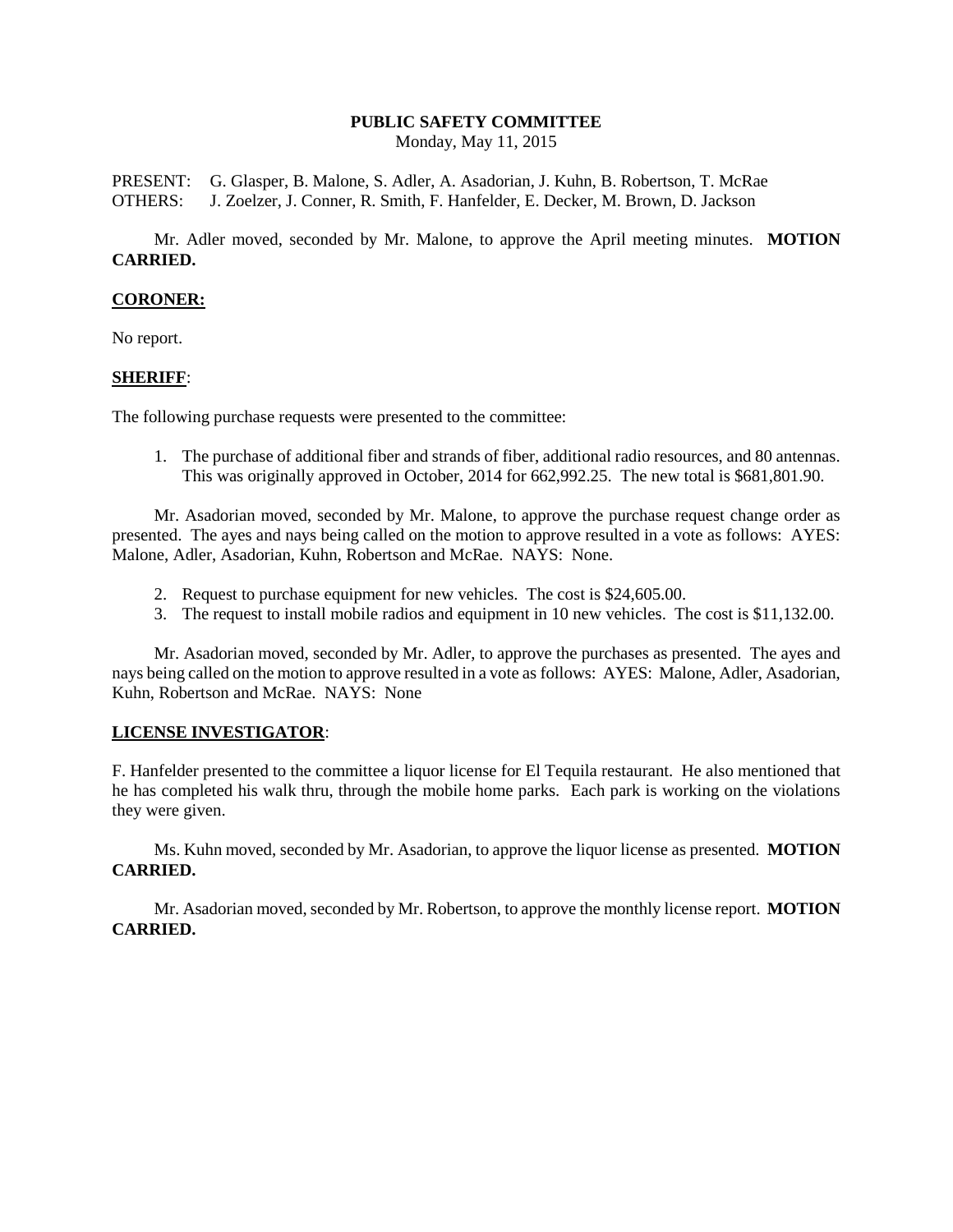# **PUBLIC SAFETY COMMITTEE**

Monday, May 11, 2015

PRESENT: G. Glasper, B. Malone, S. Adler, A. Asadorian, J. Kuhn, B. Robertson, T. McRae OTHERS: J. Zoelzer, J. Conner, R. Smith, F. Hanfelder, E. Decker, M. Brown, D. Jackson

Mr. Adler moved, seconded by Mr. Malone, to approve the April meeting minutes. **MOTION CARRIED.**

#### **CORONER:**

No report.

#### **SHERIFF**:

The following purchase requests were presented to the committee:

1. The purchase of additional fiber and strands of fiber, additional radio resources, and 80 antennas. This was originally approved in October, 2014 for 662,992.25. The new total is \$681,801.90.

Mr. Asadorian moved, seconded by Mr. Malone, to approve the purchase request change order as presented. The ayes and nays being called on the motion to approve resulted in a vote as follows: AYES: Malone, Adler, Asadorian, Kuhn, Robertson and McRae. NAYS: None.

- 2. Request to purchase equipment for new vehicles. The cost is \$24,605.00.
- 3. The request to install mobile radios and equipment in 10 new vehicles. The cost is \$11,132.00.

Mr. Asadorian moved, seconded by Mr. Adler, to approve the purchases as presented. The ayes and nays being called on the motion to approve resulted in a vote as follows: AYES: Malone, Adler, Asadorian, Kuhn, Robertson and McRae. NAYS: None

## **LICENSE INVESTIGATOR**:

F. Hanfelder presented to the committee a liquor license for El Tequila restaurant. He also mentioned that he has completed his walk thru, through the mobile home parks. Each park is working on the violations they were given.

Ms. Kuhn moved, seconded by Mr. Asadorian, to approve the liquor license as presented. **MOTION CARRIED.**

Mr. Asadorian moved, seconded by Mr. Robertson, to approve the monthly license report. **MOTION CARRIED.**